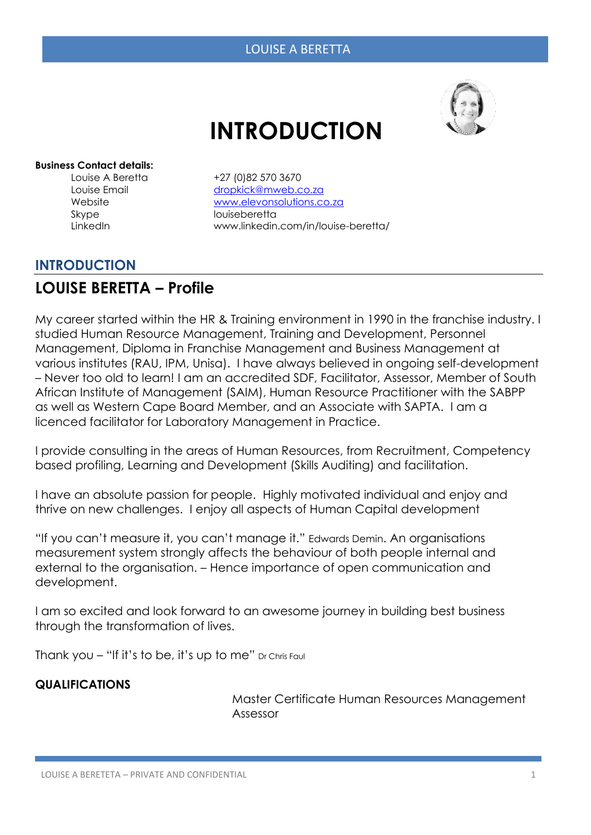# **INTRODUCTION**



#### **Business Contact details:**

Louise A Beretta +27 (0)82 570 3670 Skype louiseberetta

Louise Email [dropkick@mweb.co.za](mailto:dropkick@mweb.co.za) Website [www.elevonsolutions.co.za](http://www.elevonsolutions.co.za/) LinkedIn www.linkedin.com/in/louise-beretta/

## **INTRODUCTION**

# **LOUISE BERETTA – Profile**

My career started within the HR & Training environment in 1990 in the franchise industry. I studied Human Resource Management, Training and Development, Personnel Management, Diploma in Franchise Management and Business Management at various institutes (RAU, IPM, Unisa). I have always believed in ongoing self-development – Never too old to learn! I am an accredited SDF, Facilitator, Assessor, Member of South African Institute of Management (SAIM), Human Resource Practitioner with the SABPP as well as Western Cape Board Member, and an Associate with SAPTA. I am a licenced facilitator for Laboratory Management in Practice.

I provide consulting in the areas of Human Resources, from Recruitment, Competency based profiling, Learning and Development (Skills Auditing) and facilitation.

I have an absolute passion for people. Highly motivated individual and enjoy and thrive on new challenges. I enjoy all aspects of Human Capital development

"If you can't measure it, you can't manage it." Edwards Demin. An organisations measurement system strongly affects the behaviour of both people internal and external to the organisation. – Hence importance of open communication and development.

I am so excited and look forward to an awesome journey in building best business through the transformation of lives.

Thank you  $-$  "If it's to be, it's up to me" Dr Chris Faul

#### **QUALIFICATIONS**

Master Certificate Human Resources Management Assessor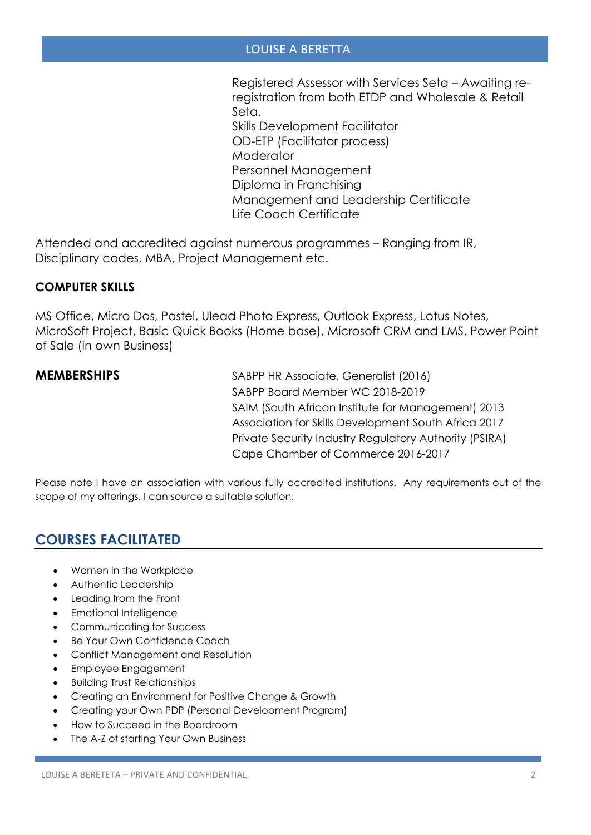#### LOUISE A BERETTA

Registered Assessor with Services Seta – Awaiting reregistration from both ETDP and Wholesale & Retail Seta. Skills Development Facilitator OD-ETP (Facilitator process) **Moderator** Personnel Management Diploma in Franchising Management and Leadership Certificate Life Coach Certificate

Attended and accredited against numerous programmes – Ranging from IR, Disciplinary codes, MBA, Project Management etc.

#### **COMPUTER SKILLS**

MS Office, Micro Dos, Pastel, Ulead Photo Express, Outlook Express, Lotus Notes, MicroSoft Project, Basic Quick Books (Home base), Microsoft CRM and LMS, Power Point of Sale (In own Business)

**MEMBERSHIPS** SABPP HR Associate, Generalist (2016) SABPP Board Member WC 2018-2019 SAIM (South African Institute for Management) 2013 Association for Skills Development South Africa 2017 Private Security Industry Regulatory Authority (PSIRA) Cape Chamber of Commerce 2016-2017

Please note I have an association with various fully accredited institutions. Any requirements out of the scope of my offerings, I can source a suitable solution.

# **COURSES FACILITATED**

- Women in the Workplace
- Authentic Leadership
- Leading from the Front
- Emotional Intelligence
- Communicating for Success
- Be Your Own Confidence Coach
- Conflict Management and Resolution
- Employee Engagement
- Building Trust Relationships
- Creating an Environment for Positive Change & Growth
- Creating your Own PDP (Personal Development Program)
- How to Succeed in the Boardroom
- The A-Z of starting Your Own Business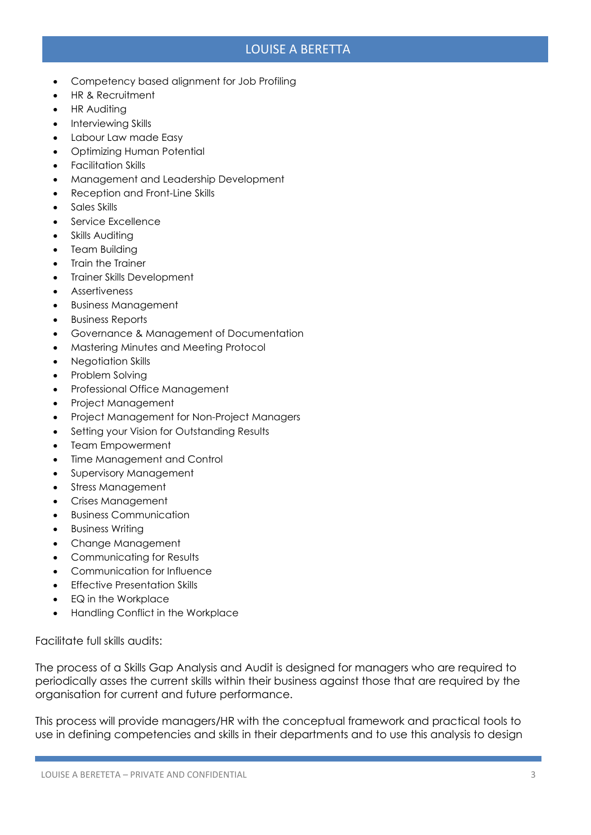### LOUISE A BERETTA

- Competency based alignment for Job Profiling
- HR & Recruitment
- **HR Auditing**
- Interviewing Skills
- Labour Law made Easy
- Optimizing Human Potential
- Facilitation Skills
- Management and Leadership Development
- Reception and Front-Line Skills
- Sales Skills
- Service Excellence
- Skills Auditing
- **Team Building**
- **Train the Trainer**
- Trainer Skills Development
- **Assertiveness**
- Business Management
- Business Reports
- Governance & Management of Documentation
- Mastering Minutes and Meeting Protocol
- Negotiation Skills
- Problem Solving
- Professional Office Management
- Project Management
- Project Management for Non-Project Managers
- Setting your Vision for Outstanding Results
- Team Empowerment
- Time Management and Control
- Supervisory Management
- Stress Management
- Crises Management
- Business Communication
- Business Writing
- Change Management
- Communicating for Results
- Communication for Influence
- **Effective Presentation Skills**
- EQ in the Workplace
- Handling Conflict in the Workplace

Facilitate full skills audits:

The process of a Skills Gap Analysis and Audit is designed for managers who are required to periodically asses the current skills within their business against those that are required by the organisation for current and future performance.

This process will provide managers/HR with the conceptual framework and practical tools to use in defining competencies and skills in their departments and to use this analysis to design